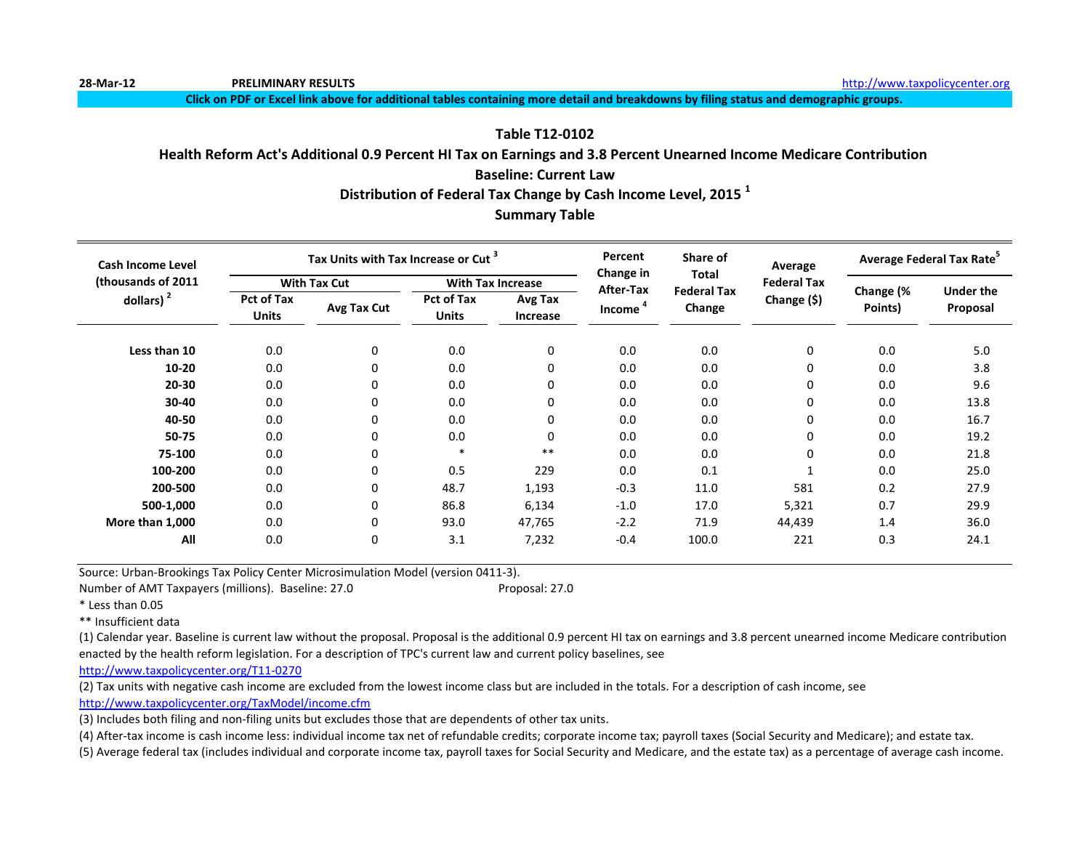**Click on PDF or Excel link above for additional tables containing more detail and breakdowns by filing status and demographic groups.**

#### **Table T12-0102**

#### **Health Reform Act's Additional 0.9 Percent HI Tax on Earnings and 3.8 Percent Unearned Income Medicare Contribution**

#### **Baseline: Current Law**

**Distribution of Federal Tax Change by Cash Income Level, 2015 <sup>1</sup>**

#### **Summary Table**

| <b>Cash Income Level</b> |                                   | Tax Units with Tax Increase or Cut <sup>3</sup> |                            |                          | Percent<br>Change in | Share of<br>Total            | Average<br><b>Federal Tax</b> | Average Federal Tax Rate <sup>3</sup> |                              |  |
|--------------------------|-----------------------------------|-------------------------------------------------|----------------------------|--------------------------|----------------------|------------------------------|-------------------------------|---------------------------------------|------------------------------|--|
| (thousands of 2011       |                                   | <b>With Tax Cut</b>                             |                            | <b>With Tax Increase</b> | After-Tax            |                              |                               |                                       |                              |  |
| dollars) $2$             | <b>Pct of Tax</b><br><b>Units</b> | Avg Tax Cut                                     | Pct of Tax<br><b>Units</b> | Avg Tax<br>Increase      | Income <sup>4</sup>  | <b>Federal Tax</b><br>Change | Change (\$)                   | Change (%<br>Points)                  | <b>Under the</b><br>Proposal |  |
| Less than 10             | 0.0                               | 0                                               | 0.0                        | $\mathbf 0$              | 0.0                  | 0.0                          | 0                             | 0.0                                   | 5.0                          |  |
| 10-20                    | 0.0                               | 0                                               | 0.0                        | 0                        | 0.0                  | 0.0                          | 0                             | 0.0                                   | 3.8                          |  |
| 20-30                    | 0.0                               |                                                 | 0.0                        | 0                        | 0.0                  | 0.0                          | 0                             | 0.0                                   | 9.6                          |  |
| 30-40                    | 0.0                               | 0                                               | 0.0                        | 0                        | 0.0                  | 0.0                          | 0                             | 0.0                                   | 13.8                         |  |
| 40-50                    | 0.0                               | 0                                               | 0.0                        | 0                        | 0.0                  | 0.0                          | 0                             | 0.0                                   | 16.7                         |  |
| 50-75                    | 0.0                               | 0                                               | 0.0                        | 0                        | 0.0                  | 0.0                          | 0                             | 0.0                                   | 19.2                         |  |
| 75-100                   | 0.0                               | 0                                               | $\ast$                     | $***$                    | 0.0                  | 0.0                          | 0                             | 0.0                                   | 21.8                         |  |
| 100-200                  | 0.0                               | 0                                               | 0.5                        | 229                      | 0.0                  | 0.1                          |                               | 0.0                                   | 25.0                         |  |
| 200-500                  | 0.0                               | 0                                               | 48.7                       | 1,193                    | $-0.3$               | 11.0                         | 581                           | 0.2                                   | 27.9                         |  |
| 500-1,000                | 0.0                               | 0                                               | 86.8                       | 6,134                    | $-1.0$               | 17.0                         | 5,321                         | 0.7                                   | 29.9                         |  |
| More than 1,000          | 0.0                               | 0                                               | 93.0                       | 47,765                   | $-2.2$               | 71.9                         | 44,439                        | 1.4                                   | 36.0                         |  |
| All                      | 0.0                               | 0                                               | 3.1                        | 7,232                    | $-0.4$               | 100.0                        | 221                           | 0.3                                   | 24.1                         |  |

Source: Urban-Brookings Tax Policy Center Microsimulation Model (version 0411-3).

Number of AMT Taxpayers (millions). Baseline: 27.0 Proposal: 27.0

\* Less than 0.05

\*\* Insufficient data

(1) Calendar year. Baseline is current law without the proposal. Proposal is the additional 0.9 percent HI tax on earnings and 3.8 percent unearned income Medicare contribution enacted by the health reform legislation. For a description of TPC's current law and current policy baselines, see

[http://www.taxpolicycente](http://www.taxpolicycenter.org/T11-0270)r.org/T11-0270

(2) Tax units with negative cash income are excluded from the lowest income class but are included in the totals. For a description of cash income, see

[http://www.taxpolicycente](http://www.taxpolicycenter.org/TaxModel/income.cfm)r.org/TaxModel/income.cfm

(3) Includes both filing and non-filing units but excludes those that are dependents of other tax units.

(4) After-tax income is cash income less: individual income tax net of refundable credits; corporate income tax; payroll taxes (Social Security and Medicare); and estate tax.

(5) Average federal tax (includes individual and corporate income tax, payroll taxes for Social Security and Medicare, and the estate tax) as a percentage of average cash income.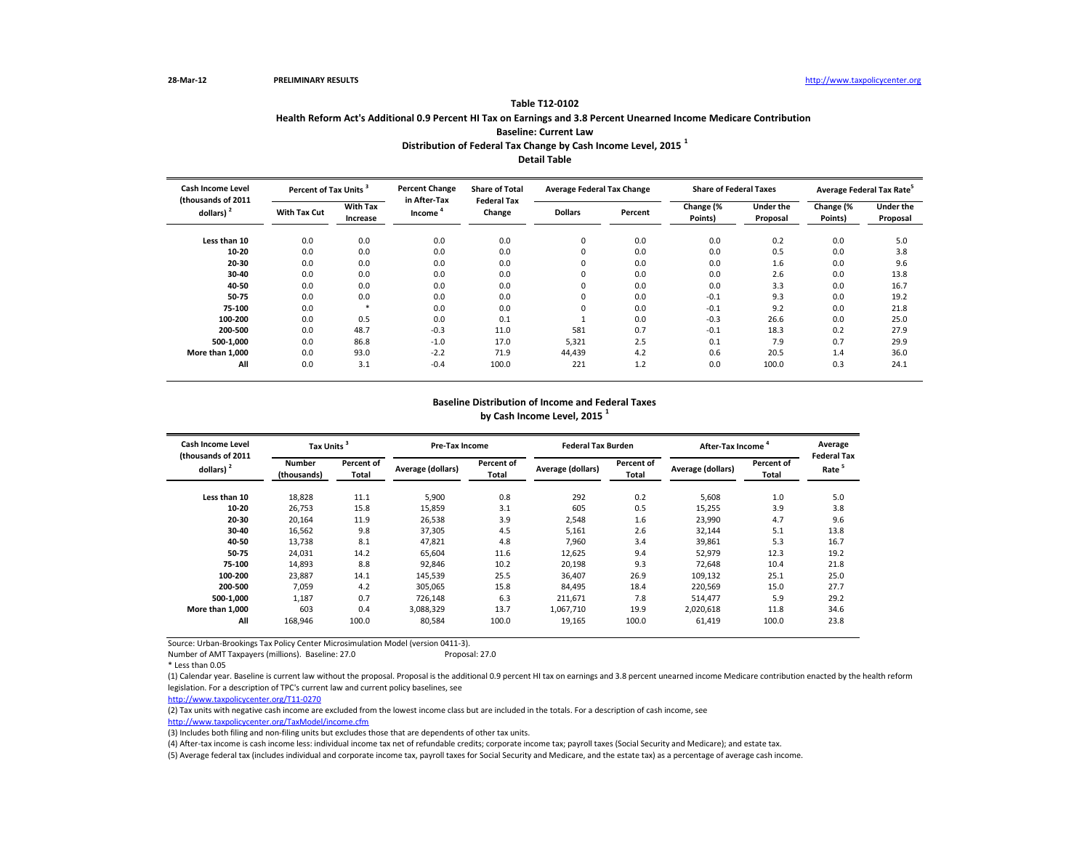| <b>Cash Income Level</b>           |                     | Percent of Tax Units <sup>3</sup> |                        | <b>Share of Total</b>        | <b>Average Federal Tax Change</b> |         | <b>Share of Federal Taxes</b> |                              | Average Federal Tax Rate <sup>5</sup> |                              |
|------------------------------------|---------------------|-----------------------------------|------------------------|------------------------------|-----------------------------------|---------|-------------------------------|------------------------------|---------------------------------------|------------------------------|
| (thousands of 2011<br>dollars) $2$ | <b>With Tax Cut</b> | <b>With Tax</b><br>Increase       | in After-Tax<br>Income | <b>Federal Tax</b><br>Change | <b>Dollars</b>                    | Percent | Change (%<br>Points)          | <b>Under the</b><br>Proposal | Change (%<br>Points)                  | <b>Under the</b><br>Proposal |
| Less than 10                       | 0.0                 | 0.0                               | 0.0                    | 0.0                          | 0                                 | 0.0     | 0.0                           | 0.2                          | 0.0                                   | 5.0                          |
| $10 - 20$                          | 0.0                 | 0.0                               | 0.0                    | 0.0                          | 0                                 | 0.0     | 0.0                           | 0.5                          | 0.0                                   | 3.8                          |
| 20-30                              | 0.0                 | 0.0                               | 0.0                    | 0.0                          | 0                                 | 0.0     | 0.0                           | 1.6                          | 0.0                                   | 9.6                          |
| $30 - 40$                          | 0.0                 | 0.0                               | 0.0                    | 0.0                          | 0                                 | 0.0     | 0.0                           | 2.6                          | 0.0                                   | 13.8                         |
| 40-50                              | 0.0                 | 0.0                               | 0.0                    | 0.0                          | 0                                 | 0.0     | 0.0                           | 3.3                          | 0.0                                   | 16.7                         |
| 50-75                              | 0.0                 | 0.0                               | 0.0                    | 0.0                          | 0                                 | 0.0     | $-0.1$                        | 9.3                          | 0.0                                   | 19.2                         |
| 75-100                             | 0.0                 |                                   | 0.0                    | 0.0                          | 0                                 | 0.0     | $-0.1$                        | 9.2                          | 0.0                                   | 21.8                         |
| 100-200                            | 0.0                 | 0.5                               | 0.0                    | 0.1                          |                                   | 0.0     | $-0.3$                        | 26.6                         | 0.0                                   | 25.0                         |
| 200-500                            | 0.0                 | 48.7                              | $-0.3$                 | 11.0                         | 581                               | 0.7     | $-0.1$                        | 18.3                         | 0.2                                   | 27.9                         |
| 500-1,000                          | 0.0                 | 86.8                              | $-1.0$                 | 17.0                         | 5,321                             | 2.5     | 0.1                           | 7.9                          | 0.7                                   | 29.9                         |
| More than 1.000                    | 0.0                 | 93.0                              | $-2.2$                 | 71.9                         | 44,439                            | 4.2     | 0.6                           | 20.5                         | 1.4                                   | 36.0                         |
| All                                | 0.0                 | 3.1                               | $-0.4$                 | 100.0                        | 221                               | 1.2     | 0.0                           | 100.0                        | 0.3                                   | 24.1                         |

Number of AMT Taxpayers (millions). Baseline: 27.0 Proposal: 27.0

## **Table T12-0102 Health Reform Act's Additional 0.9 Percent HI Tax on Earnings and 3.8 Percent Unearned Income Medicare Contribution Baseline: Current Law Distribution of Federal Tax Change by Cash Income Level, 2015 <sup>1</sup> Detail Table**

| <b>Cash Income Level</b>           |                              | Tax Units <sup>3</sup> |                                          | <b>Pre-Tax Income</b> | <b>Federal Tax Burden</b> |                            | After-Tax Income  |                     | Average                                |  |
|------------------------------------|------------------------------|------------------------|------------------------------------------|-----------------------|---------------------------|----------------------------|-------------------|---------------------|----------------------------------------|--|
| (thousands of 2011<br>dollars) $2$ | <b>Number</b><br>(thousands) | Percent of<br>Total    | Percent of<br>Average (dollars)<br>Total |                       | Average (dollars)         | <b>Percent of</b><br>Total | Average (dollars) | Percent of<br>Total | <b>Federal Ta</b><br>Rate <sup>5</sup> |  |
| Less than 10                       | 18,828                       | 11.1                   | 5,900                                    | 0.8                   | 292                       | 0.2                        | 5,608             | 1.0                 | 5.0                                    |  |
| $10 - 20$                          | 26,753                       | 15.8                   | 15,859                                   | 3.1                   | 605                       | 0.5                        | 15,255            | 3.9                 | 3.8                                    |  |
| $20 - 30$                          | 20,164                       | 11.9                   | 26,538                                   | 3.9                   | 2,548                     | 1.6                        | 23,990            | 4.7                 | 9.6                                    |  |
| $30 - 40$                          | 16,562                       | 9.8                    | 37,305                                   | 4.5                   | 5,161                     | 2.6                        | 32,144            | 5.1                 | 13.8                                   |  |
| 40-50                              | 13,738                       | 8.1                    | 47,821                                   | 4.8                   | 7,960                     | 3.4                        | 39,861            | 5.3                 | 16.7                                   |  |
| 50-75                              | 24,031                       | 14.2                   | 65,604                                   | 11.6                  | 12,625                    | 9.4                        | 52,979            | 12.3                | 19.2                                   |  |
| 75-100                             | 14,893                       | 8.8                    | 92,846                                   | 10.2                  | 20,198                    | 9.3                        | 72,648            | 10.4                | 21.8                                   |  |
| 100-200                            | 23,887                       | 14.1                   | 145,539                                  | 25.5                  | 36,407                    | 26.9                       | 109,132           | 25.1                | 25.0                                   |  |
| 200-500                            | 7,059                        | 4.2                    | 305,065                                  | 15.8                  | 84,495                    | 18.4                       | 220,569           | 15.0                | 27.7                                   |  |
| 500-1,000                          | 1,187                        | 0.7                    | 726,148                                  | 6.3                   | 211,671                   | 7.8                        | 514,477           | 5.9                 | 29.2                                   |  |
| More than 1,000                    | 603                          | 0.4                    | 3,088,329                                | 13.7                  | 1,067,710                 | 19.9                       | 2,020,618         | 11.8                | 34.6                                   |  |
| All                                | 168,946                      | 100.0                  | 80,584                                   | 100.0                 | 19,165                    | 100.0                      | 61,419            | 100.0               | 23.8                                   |  |

| Average Federal Tax Rate <sup>5</sup> |                  |  |  |  |  |  |  |  |  |
|---------------------------------------|------------------|--|--|--|--|--|--|--|--|
| Change (%                             | <b>Under the</b> |  |  |  |  |  |  |  |  |
| Points)                               | Proposal         |  |  |  |  |  |  |  |  |
|                                       |                  |  |  |  |  |  |  |  |  |
| 0.0                                   | 5.0              |  |  |  |  |  |  |  |  |
| 0.0                                   | 3.8              |  |  |  |  |  |  |  |  |
| 0.0                                   | 9.6              |  |  |  |  |  |  |  |  |
| 0.0                                   | 13.8             |  |  |  |  |  |  |  |  |
| 0.0                                   | 16.7             |  |  |  |  |  |  |  |  |
| 0.0                                   | 19.2             |  |  |  |  |  |  |  |  |
| 0.0                                   | 21.8             |  |  |  |  |  |  |  |  |
| 0.0                                   | 25.0             |  |  |  |  |  |  |  |  |
| 0.2                                   | 27.9             |  |  |  |  |  |  |  |  |
| 0.7                                   | 29.9             |  |  |  |  |  |  |  |  |
| 1.4                                   | 36.0             |  |  |  |  |  |  |  |  |
| 0.3                                   | 24.1             |  |  |  |  |  |  |  |  |
|                                       |                  |  |  |  |  |  |  |  |  |

#### **Baseline Distribution of Income and Federal Taxes by Cash Income Level, 2015 <sup>1</sup>**

| Average<br><b>Federal Tax</b><br>Rate <sup>5</sup> |  |  |  |  |  |  |  |  |  |
|----------------------------------------------------|--|--|--|--|--|--|--|--|--|
| 5.0<br>3.8                                         |  |  |  |  |  |  |  |  |  |
| 9.6                                                |  |  |  |  |  |  |  |  |  |
| 13.8<br>16.7                                       |  |  |  |  |  |  |  |  |  |
| 19.2                                               |  |  |  |  |  |  |  |  |  |
| 21.8                                               |  |  |  |  |  |  |  |  |  |
| 25.0<br>27.7                                       |  |  |  |  |  |  |  |  |  |
| 29.2                                               |  |  |  |  |  |  |  |  |  |
| 34.6                                               |  |  |  |  |  |  |  |  |  |
| 23.8                                               |  |  |  |  |  |  |  |  |  |
|                                                    |  |  |  |  |  |  |  |  |  |

(4) After-tax income is cash income less: individual income tax net of refundable credits; corporate income tax; payroll taxes (Social Security and Medicare); and estate tax.

(5) Average federal tax (includes individual and corporate income tax, payroll taxes for Social Security and Medicare, and the estate tax) as a percentage of average cash income.

(1) Calendar year. Baseline is current law without the proposal. Proposal is the additional 0.9 percent HI tax on earnings and 3.8 percent unearned income Medicare contribution enacted by the health reform legislation. For a description of TPC's current law and current policy baselines, see

[http://www.taxpolicycente](http://www.taxpolicycenter.org/T11-0270)r.org/T11-0270

(2) Tax units with negative cash income are excluded from the lowest income class but are included in the totals. For a description of cash income, see [http://www.taxpolicycente](http://www.taxpolicycenter.org/TaxModel/income.cfm)r.org/TaxModel/income.cfm

(3) Includes both filing and non-filing units but excludes those that are dependents of other tax units.

<sup>\*</sup> Less than 0.05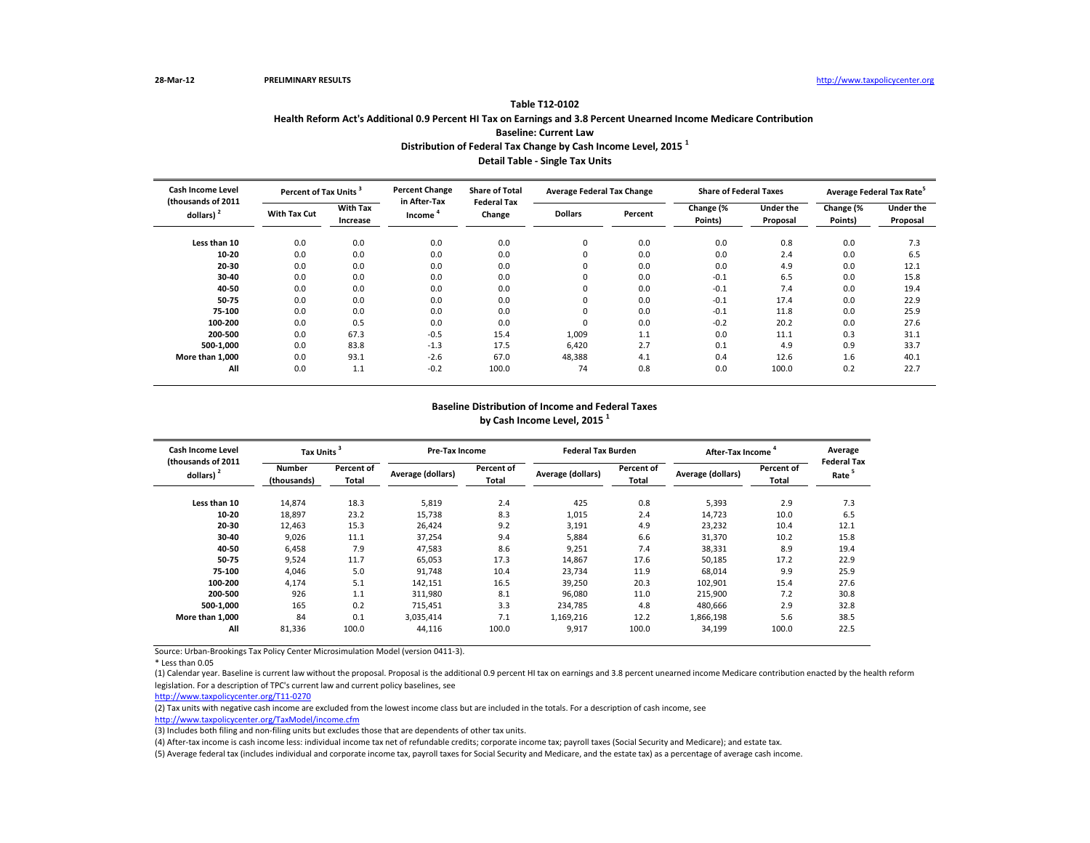| <b>Cash Income Level</b><br>(thousands of 2011<br>dollars) $2$ | Percent of Tax Units <sup>3</sup> |                             | <b>Percent Change</b>  | <b>Share of Total</b>        | <b>Average Federal Tax Change</b> |         | <b>Share of Federal Taxes</b> |                              | Average Federal Tax Rate <sup>5</sup> |                              |
|----------------------------------------------------------------|-----------------------------------|-----------------------------|------------------------|------------------------------|-----------------------------------|---------|-------------------------------|------------------------------|---------------------------------------|------------------------------|
|                                                                | <b>With Tax Cut</b>               | <b>With Tax</b><br>Increase | in After-Tax<br>Income | <b>Federal Tax</b><br>Change | <b>Dollars</b>                    | Percent | Change (%<br>Points)          | <b>Under the</b><br>Proposal | Change (%<br>Points)                  | <b>Under the</b><br>Proposal |
| Less than 10                                                   | 0.0                               | 0.0                         | 0.0                    | 0.0                          | 0                                 | 0.0     | 0.0                           | 0.8                          | 0.0                                   | 7.3                          |
| 10-20                                                          | 0.0                               | 0.0                         | 0.0                    | 0.0                          |                                   | 0.0     | 0.0                           | 2.4                          | 0.0                                   | 6.5                          |
| 20-30                                                          | 0.0                               | 0.0                         | 0.0                    | 0.0                          | 0                                 | 0.0     | 0.0                           | 4.9                          | 0.0                                   | 12.1                         |
| $30 - 40$                                                      | 0.0                               | 0.0                         | 0.0                    | 0.0                          | 0                                 | 0.0     | $-0.1$                        | 6.5                          | 0.0                                   | 15.8                         |
| 40-50                                                          | 0.0                               | 0.0                         | 0.0                    | 0.0                          |                                   | 0.0     | $-0.1$                        | 7.4                          | 0.0                                   | 19.4                         |
| 50-75                                                          | 0.0                               | 0.0                         | 0.0                    | 0.0                          |                                   | 0.0     | $-0.1$                        | 17.4                         | 0.0                                   | 22.9                         |
| 75-100                                                         | 0.0                               | 0.0                         | 0.0                    | 0.0                          |                                   | 0.0     | $-0.1$                        | 11.8                         | 0.0                                   | 25.9                         |
| 100-200                                                        | 0.0                               | 0.5                         | 0.0                    | 0.0                          |                                   | 0.0     | $-0.2$                        | 20.2                         | 0.0                                   | 27.6                         |
| 200-500                                                        | 0.0                               | 67.3                        | $-0.5$                 | 15.4                         | 1,009                             | 1.1     | 0.0                           | 11.1                         | 0.3                                   | 31.1                         |
| 500-1,000                                                      | 0.0                               | 83.8                        | $-1.3$                 | 17.5                         | 6,420                             | 2.7     | 0.1                           | 4.9                          | 0.9                                   | 33.7                         |
| More than 1,000                                                | 0.0                               | 93.1                        | $-2.6$                 | 67.0                         | 48,388                            | 4.1     | 0.4                           | 12.6                         | 1.6                                   | 40.1                         |
| All                                                            | 0.0                               | 1.1                         | $-0.2$                 | 100.0                        | 74                                | 0.8     | 0.0                           | 100.0                        | 0.2                                   | 22.7                         |

\* Less than 0.05

| <b>Cash Income Level</b><br>(thousands of 2011<br>dollars) $2$ | <b>Tax Units</b>      |                            |                   | <b>Pre-Tax Income</b> |                   | <b>Federal Tax Burden</b>  | After-Tax Income         | Average             |                                        |
|----------------------------------------------------------------|-----------------------|----------------------------|-------------------|-----------------------|-------------------|----------------------------|--------------------------|---------------------|----------------------------------------|
|                                                                | Number<br>(thousands) | Percent of<br><b>Total</b> | Average (dollars) | Percent of<br>Total   | Average (dollars) | Percent of<br><b>Total</b> | <b>Average (dollars)</b> | Percent of<br>Total | <b>Federal Ta</b><br>Rate <sup>5</sup> |
| Less than 10                                                   | 14,874                | 18.3                       | 5,819             | 2.4                   | 425               | 0.8                        | 5,393                    | 2.9                 | 7.3                                    |
| $10 - 20$                                                      | 18,897                | 23.2                       | 15,738            | 8.3                   | 1,015             | 2.4                        | 14,723                   | 10.0                | 6.5                                    |
| $20 - 30$                                                      | 12,463                | 15.3                       | 26,424            | 9.2                   | 3,191             | 4.9                        | 23,232                   | 10.4                | 12.1                                   |
| $30 - 40$                                                      | 9,026                 | 11.1                       | 37,254            | 9.4                   | 5,884             | 6.6                        | 31,370                   | 10.2                | 15.8                                   |
| 40-50                                                          | 6,458                 | 7.9                        | 47,583            | 8.6                   | 9,251             | 7.4                        | 38,331                   | 8.9                 | 19.4                                   |
| 50-75                                                          | 9,524                 | 11.7                       | 65,053            | 17.3                  | 14,867            | 17.6                       | 50,185                   | 17.2                | 22.9                                   |
| 75-100                                                         | 4,046                 | 5.0                        | 91,748            | 10.4                  | 23,734            | 11.9                       | 68,014                   | 9.9                 | 25.9                                   |
| 100-200                                                        | 4,174                 | 5.1                        | 142,151           | 16.5                  | 39,250            | 20.3                       | 102,901                  | 15.4                | 27.6                                   |
| 200-500                                                        | 926                   | 1.1                        | 311,980           | 8.1                   | 96,080            | 11.0                       | 215,900                  | 7.2                 | 30.8                                   |
| 500-1,000                                                      | 165                   | 0.2                        | 715,451           | 3.3                   | 234,785           | 4.8                        | 480,666                  | 2.9                 | 32.8                                   |
| More than 1,000                                                | 84                    | 0.1                        | 3,035,414         | 7.1                   | 1,169,216         | 12.2                       | 1,866,198                | 5.6                 | 38.5                                   |
| All                                                            | 81,336                | 100.0                      | 44,116            | 100.0                 | 9,917             | 100.0                      | 34,199                   | 100.0               | 22.5                                   |

## **Table T12-0102 Health Reform Act's Additional 0.9 Percent HI Tax on Earnings and 3.8 Percent Unearned Income Medicare Contribution Baseline: Current Law Distribution of Federal Tax Change by Cash Income Level, 2015 <sup>1</sup>**

**Detail Table - Single Tax Units**

## **Baseline Distribution of Income and Federal Taxes by Cash Income Level, 2015 <sup>1</sup>**

| Average<br>Federal Tax<br>Rate <sup>5</sup>                                                |  |  |  |  |  |  |  |  |  |
|--------------------------------------------------------------------------------------------|--|--|--|--|--|--|--|--|--|
| 7.3<br>6.5<br>12.1<br>15.8<br>19.4<br>22.9<br>25.9<br>27.6<br>30.8<br>32.8<br>38.5<br>22.5 |  |  |  |  |  |  |  |  |  |

(5) Average federal tax (includes individual and corporate income tax, payroll taxes for Social Security and Medicare, and the estate tax) as a percentage of average cash income.

(1) Calendar year. Baseline is current law without the proposal. Proposal is the additional 0.9 percent HI tax on earnings and 3.8 percent unearned income Medicare contribution enacted by the health reform legislation. For a description of TPC's current law and current policy baselines, see

[http://www.taxpolicycente](http://www.taxpolicycenter.org/T11-0270)r.org/T11-0270

(2) Tax units with negative cash income are excluded from the lowest income class but are included in the totals. For a description of cash income, see

[http://www.taxpolicycente](http://www.taxpolicycenter.org/TaxModel/income.cfm)r.org/TaxModel/income.cfm

(3) Includes both filing and non-filing units but excludes those that are dependents of other tax units.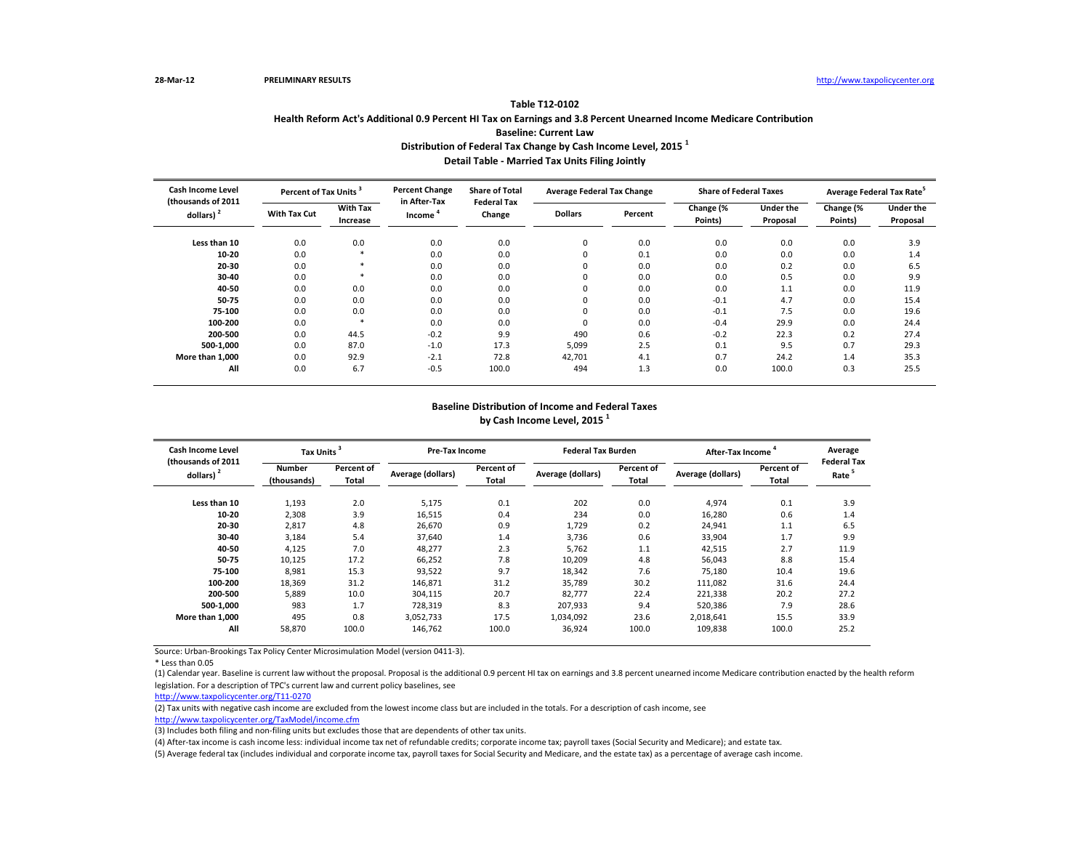| <b>Cash Income Level</b><br>(thousands of 2011)<br>dollars) $2$ | Percent of Tax Units <sup>3</sup> |                             | <b>Percent Change</b>  | <b>Share of Total</b>        | <b>Average Federal Tax Change</b> |         | <b>Share of Federal Taxes</b> |                              | Average Federal Tax Rate <sup>5</sup> |                              |
|-----------------------------------------------------------------|-----------------------------------|-----------------------------|------------------------|------------------------------|-----------------------------------|---------|-------------------------------|------------------------------|---------------------------------------|------------------------------|
|                                                                 | <b>With Tax Cut</b>               | <b>With Tax</b><br>Increase | in After-Tax<br>Income | <b>Federal Tax</b><br>Change | <b>Dollars</b>                    | Percent | Change (%<br>Points)          | <b>Under the</b><br>Proposal | Change (%<br>Points)                  | <b>Under the</b><br>Proposal |
| Less than 10                                                    | 0.0                               | 0.0                         | 0.0                    | 0.0                          | 0                                 | 0.0     | 0.0                           | 0.0                          | 0.0                                   | 3.9                          |
| $10 - 20$                                                       | 0.0                               |                             | 0.0                    | 0.0                          | 0                                 | 0.1     | 0.0                           | 0.0                          | 0.0                                   | 1.4                          |
| $20 - 30$                                                       | 0.0                               |                             | 0.0                    | 0.0                          | 0                                 | 0.0     | 0.0                           | 0.2                          | 0.0                                   | 6.5                          |
| 30-40                                                           | 0.0                               |                             | 0.0                    | 0.0                          | 0                                 | 0.0     | 0.0                           | 0.5                          | 0.0                                   | 9.9                          |
| 40-50                                                           | 0.0                               | 0.0                         | 0.0                    | 0.0                          |                                   | 0.0     | 0.0                           | 1.1                          | 0.0                                   | 11.9                         |
| 50-75                                                           | 0.0                               | 0.0                         | 0.0                    | 0.0                          | 0                                 | 0.0     | $-0.1$                        | 4.7                          | 0.0                                   | 15.4                         |
| 75-100                                                          | 0.0                               | 0.0                         | 0.0                    | 0.0                          | $\Omega$                          | 0.0     | $-0.1$                        | 7.5                          | 0.0                                   | 19.6                         |
| 100-200                                                         | 0.0                               | $\ast$                      | 0.0                    | 0.0                          | 0                                 | 0.0     | $-0.4$                        | 29.9                         | 0.0                                   | 24.4                         |
| 200-500                                                         | 0.0                               | 44.5                        | $-0.2$                 | 9.9                          | 490                               | 0.6     | $-0.2$                        | 22.3                         | 0.2                                   | 27.4                         |
| 500-1,000                                                       | 0.0                               | 87.0                        | $-1.0$                 | 17.3                         | 5,099                             | 2.5     | 0.1                           | 9.5                          | 0.7                                   | 29.3                         |
| More than 1.000                                                 | 0.0                               | 92.9                        | $-2.1$                 | 72.8                         | 42,701                            | 4.1     | 0.7                           | 24.2                         | 1.4                                   | 35.3                         |
| All                                                             | 0.0                               | 6.7                         | $-0.5$                 | 100.0                        | 494                               | 1.3     | 0.0                           | 100.0                        | 0.3                                   | 25.5                         |

#### **Table T12-0102**

**Health Reform Act's Additional 0.9 Percent HI Tax on Earnings and 3.8 Percent Unearned Income Medicare Contribution** 

| <b>Cash Income Level</b>            | <b>Tax Units</b>             |                                   |                   | Pre-Tax Income      |                   | <b>Federal Tax Burden</b> | After-Tax Income  | Average             |                                        |
|-------------------------------------|------------------------------|-----------------------------------|-------------------|---------------------|-------------------|---------------------------|-------------------|---------------------|----------------------------------------|
| (thousands of 2011)<br>dollars) $2$ | <b>Number</b><br>(thousands) | <b>Percent of</b><br><b>Total</b> | Average (dollars) | Percent of<br>Total | Average (dollars) | Percent of<br>Total       | Average (dollars) | Percent of<br>Total | <b>Federal Ta</b><br>Rate <sup>5</sup> |
| Less than 10                        | 1,193                        | 2.0                               | 5,175             | 0.1                 | 202               | 0.0                       | 4,974             | 0.1                 | 3.9                                    |
| $10 - 20$                           | 2,308                        | 3.9                               | 16,515            | 0.4                 | 234               | 0.0                       | 16,280            | 0.6                 | 1.4                                    |
| $20 - 30$                           | 2,817                        | 4.8                               | 26,670            | 0.9                 | 1,729             | 0.2                       | 24,941            | 1.1                 | 6.5                                    |
| $30 - 40$                           | 3,184                        | 5.4                               | 37,640            | 1.4                 | 3,736             | 0.6                       | 33,904            | 1.7                 | 9.9                                    |
| 40-50                               | 4,125                        | 7.0                               | 48,277            | 2.3                 | 5,762             | 1.1                       | 42,515            | 2.7                 | 11.9                                   |
| 50-75                               | 10,125                       | 17.2                              | 66,252            | 7.8                 | 10,209            | 4.8                       | 56,043            | 8.8                 | 15.4                                   |
| 75-100                              | 8,981                        | 15.3                              | 93,522            | 9.7                 | 18,342            | 7.6                       | 75,180            | 10.4                | 19.6                                   |
| 100-200                             | 18,369                       | 31.2                              | 146,871           | 31.2                | 35,789            | 30.2                      | 111,082           | 31.6                | 24.4                                   |
| 200-500                             | 5,889                        | 10.0                              | 304,115           | 20.7                | 82,777            | 22.4                      | 221,338           | 20.2                | 27.2                                   |
| 500-1,000                           | 983                          | 1.7                               | 728,319           | 8.3                 | 207,933           | 9.4                       | 520,386           | 7.9                 | 28.6                                   |
| More than 1,000                     | 495                          | 0.8                               | 3,052,733         | 17.5                | 1,034,092         | 23.6                      | 2,018,641         | 15.5                | 33.9                                   |
| All                                 | 58,870                       | 100.0                             | 146,762           | 100.0               | 36,924            | 100.0                     | 109,838           | 100.0               | 25.2                                   |

**Baseline: Current Law**

**Distribution of Federal Tax Change by Cash Income Level, 2015 <sup>1</sup>**

**Detail Table - Married Tax Units Filing Jointly**

### **Baseline Distribution of Income and Federal Taxes by Cash Income Level, 2015 <sup>1</sup>**

| Average<br><b>Federal Tax</b><br>Rate <sup>5</sup>                       |  |  |  |  |  |  |  |  |  |
|--------------------------------------------------------------------------|--|--|--|--|--|--|--|--|--|
| 3.9<br>1.4<br>6.5<br>۹.۹<br>11.9<br>15.4<br>19.6<br>24.4<br>27.2<br>28.6 |  |  |  |  |  |  |  |  |  |
| 33.9<br>25.2                                                             |  |  |  |  |  |  |  |  |  |

(5) Average federal tax (includes individual and corporate income tax, payroll taxes for Social Security and Medicare, and the estate tax) as a percentage of average cash income.

(1) Calendar year. Baseline is current law without the proposal. Proposal is the additional 0.9 percent HI tax on earnings and 3.8 percent unearned income Medicare contribution enacted by the health reform legislation. For a description of TPC's current law and current policy baselines, see

[http://www.taxpolicycente](http://www.taxpolicycenter.org/T11-0270)r.org/T11-0270

(2) Tax units with negative cash income are excluded from the lowest income class but are included in the totals. For a description of cash income, see

[http://www.taxpolicycente](http://www.taxpolicycenter.org/TaxModel/income.cfm)r.org/TaxModel/income.cfm

(3) Includes both filing and non-filing units but excludes those that are dependents of other tax units.

<sup>\*</sup> Less than 0.05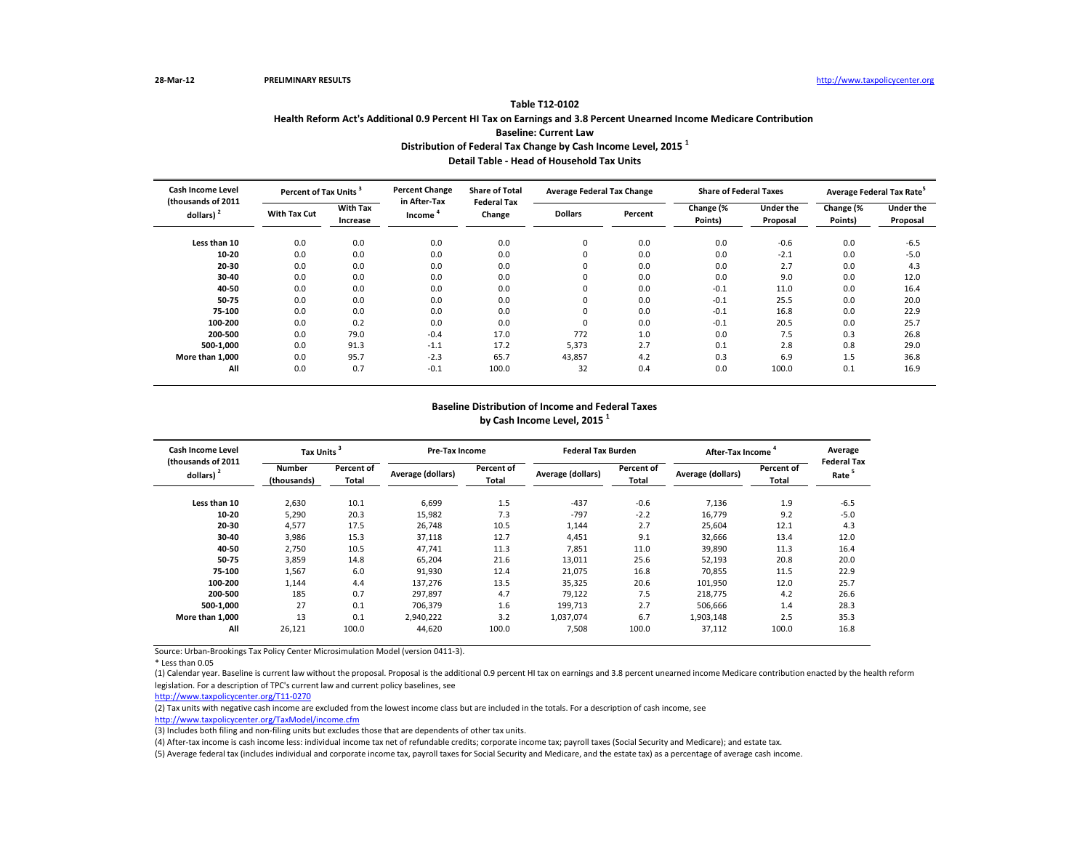| <b>Cash Income Level</b>           | Percent of Tax Units <sup>3</sup> |                             | <b>Percent Change</b>  | <b>Share of Total</b>        | <b>Average Federal Tax Change</b> |         | <b>Share of Federal Taxes</b> |                              | Average Federal Tax Rate <sup>5</sup> |                              |
|------------------------------------|-----------------------------------|-----------------------------|------------------------|------------------------------|-----------------------------------|---------|-------------------------------|------------------------------|---------------------------------------|------------------------------|
| (thousands of 2011<br>dollars) $2$ | <b>With Tax Cut</b>               | <b>With Tax</b><br>Increase | in After-Tax<br>Income | <b>Federal Tax</b><br>Change | <b>Dollars</b>                    | Percent | Change (%<br>Points)          | <b>Under the</b><br>Proposal | Change (%<br>Points)                  | <b>Under the</b><br>Proposal |
| Less than 10                       | 0.0                               | 0.0                         | 0.0                    | 0.0                          | $\mathbf 0$                       | 0.0     | 0.0                           | $-0.6$                       | 0.0                                   | $-6.5$                       |
| $10 - 20$                          | 0.0                               | 0.0                         | 0.0                    | 0.0                          | 0                                 | 0.0     | 0.0                           | $-2.1$                       | 0.0                                   | $-5.0$                       |
| $20 - 30$                          | 0.0                               | 0.0                         | 0.0                    | 0.0                          | 0                                 | 0.0     | 0.0                           | 2.7                          | 0.0                                   | 4.3                          |
| 30-40                              | 0.0                               | 0.0                         | 0.0                    | 0.0                          | 0                                 | 0.0     | 0.0                           | 9.0                          | 0.0                                   | 12.0                         |
| 40-50                              | 0.0                               | 0.0                         | 0.0                    | 0.0                          | 0                                 | 0.0     | $-0.1$                        | 11.0                         | 0.0                                   | 16.4                         |
| 50-75                              | 0.0                               | 0.0                         | 0.0                    | 0.0                          |                                   | 0.0     | $-0.1$                        | 25.5                         | 0.0                                   | 20.0                         |
| 75-100                             | 0.0                               | 0.0                         | 0.0                    | 0.0                          | $\Omega$                          | 0.0     | $-0.1$                        | 16.8                         | 0.0                                   | 22.9                         |
| 100-200                            | 0.0                               | 0.2                         | 0.0                    | 0.0                          |                                   | 0.0     | $-0.1$                        | 20.5                         | 0.0                                   | 25.7                         |
| 200-500                            | 0.0                               | 79.0                        | $-0.4$                 | 17.0                         | 772                               | 1.0     | 0.0                           | 7.5                          | 0.3                                   | 26.8                         |
| 500-1,000                          | 0.0                               | 91.3                        | $-1.1$                 | 17.2                         | 5,373                             | 2.7     | 0.1                           | 2.8                          | 0.8                                   | 29.0                         |
| More than 1.000                    | 0.0                               | 95.7                        | $-2.3$                 | 65.7                         | 43,857                            | 4.2     | 0.3                           | 6.9                          | 1.5                                   | 36.8                         |
| All                                | 0.0                               | 0.7                         | $-0.1$                 | 100.0                        | 32                                | 0.4     | 0.0                           | 100.0                        | 0.1                                   | 16.9                         |

\* Less than 0.05

# **Table T12-0102 Health Reform Act's Additional 0.9 Percent HI Tax on Earnings and 3.8 Percent Unearned Income Medicare Contribution Baseline: Current Law**

| <b>Cash Income Level</b>           | <b>Tax Units</b>      |                            | <b>Pre-Tax Income</b> |                     | <b>Federal Tax Burden</b> |                     | After-Tax Income         |                     | Average                                |
|------------------------------------|-----------------------|----------------------------|-----------------------|---------------------|---------------------------|---------------------|--------------------------|---------------------|----------------------------------------|
| (thousands of 2011<br>dollars) $2$ | Number<br>(thousands) | Percent of<br><b>Total</b> | Average (dollars)     | Percent of<br>Total | Average (dollars)         | Percent of<br>Total | <b>Average (dollars)</b> | Percent of<br>Total | <b>Federal Ta</b><br>Rate <sup>5</sup> |
| Less than 10                       | 2,630                 | 10.1                       | 6,699                 | 1.5                 | $-437$                    | $-0.6$              | 7,136                    | 1.9                 | $-6.5$                                 |
| $10 - 20$                          | 5,290                 | 20.3                       | 15,982                | 7.3                 | $-797$                    | $-2.2$              | 16,779                   | 9.2                 | $-5.0$                                 |
| $20 - 30$                          | 4,577                 | 17.5                       | 26,748                | 10.5                | 1,144                     | 2.7                 | 25,604                   | 12.1                | 4.3                                    |
| $30 - 40$                          | 3,986                 | 15.3                       | 37,118                | 12.7                | 4,451                     | 9.1                 | 32,666                   | 13.4                | 12.0                                   |
| 40-50                              | 2,750                 | 10.5                       | 47,741                | 11.3                | 7,851                     | 11.0                | 39,890                   | 11.3                | 16.4                                   |
| 50-75                              | 3,859                 | 14.8                       | 65,204                | 21.6                | 13,011                    | 25.6                | 52,193                   | 20.8                | 20.0                                   |
| 75-100                             | 1,567                 | 6.0                        | 91,930                | 12.4                | 21,075                    | 16.8                | 70,855                   | 11.5                | 22.9                                   |
| 100-200                            | 1,144                 | 4.4                        | 137,276               | 13.5                | 35,325                    | 20.6                | 101,950                  | 12.0                | 25.7                                   |
| 200-500                            | 185                   | 0.7                        | 297,897               | 4.7                 | 79,122                    | 7.5                 | 218,775                  | 4.2                 | 26.6                                   |
| 500-1,000                          | 27                    | 0.1                        | 706,379               | 1.6                 | 199,713                   | 2.7                 | 506,666                  | 1.4                 | 28.3                                   |
| More than 1,000                    | 13                    | 0.1                        | 2,940,222             | 3.2                 | 1,037,074                 | 6.7                 | 1,903,148                | 2.5                 | 35.3                                   |
| All                                | 26,121                | 100.0                      | 44,620                | 100.0               | 7,508                     | 100.0               | 37,112                   | 100.0               | 16.8                                   |

**Distribution of Federal Tax Change by Cash Income Level, 2015 <sup>1</sup>**

**Detail Table - Head of Household Tax Units**

### **Baseline Distribution of Income and Federal Taxes by Cash Income Level, 2015 <sup>1</sup>**

| $-6.5$<br>$-5.0$<br>4.3<br>12.0<br>16.4<br>20.0<br>22.9<br>25.7<br>26.6<br>28.3<br>35.3 | Average<br>Federal Tax<br>Rate <sup>5</sup> |
|-----------------------------------------------------------------------------------------|---------------------------------------------|
| 16.8                                                                                    |                                             |

(5) Average federal tax (includes individual and corporate income tax, payroll taxes for Social Security and Medicare, and the estate tax) as a percentage of average cash income.

(1) Calendar year. Baseline is current law without the proposal. Proposal is the additional 0.9 percent HI tax on earnings and 3.8 percent unearned income Medicare contribution enacted by the health reform legislation. For a description of TPC's current law and current policy baselines, see

[http://www.taxpolicycente](http://www.taxpolicycenter.org/T11-0270)r.org/T11-0270

(2) Tax units with negative cash income are excluded from the lowest income class but are included in the totals. For a description of cash income, see

[http://www.taxpolicycente](http://www.taxpolicycenter.org/TaxModel/income.cfm)r.org/TaxModel/income.cfm

(3) Includes both filing and non-filing units but excludes those that are dependents of other tax units.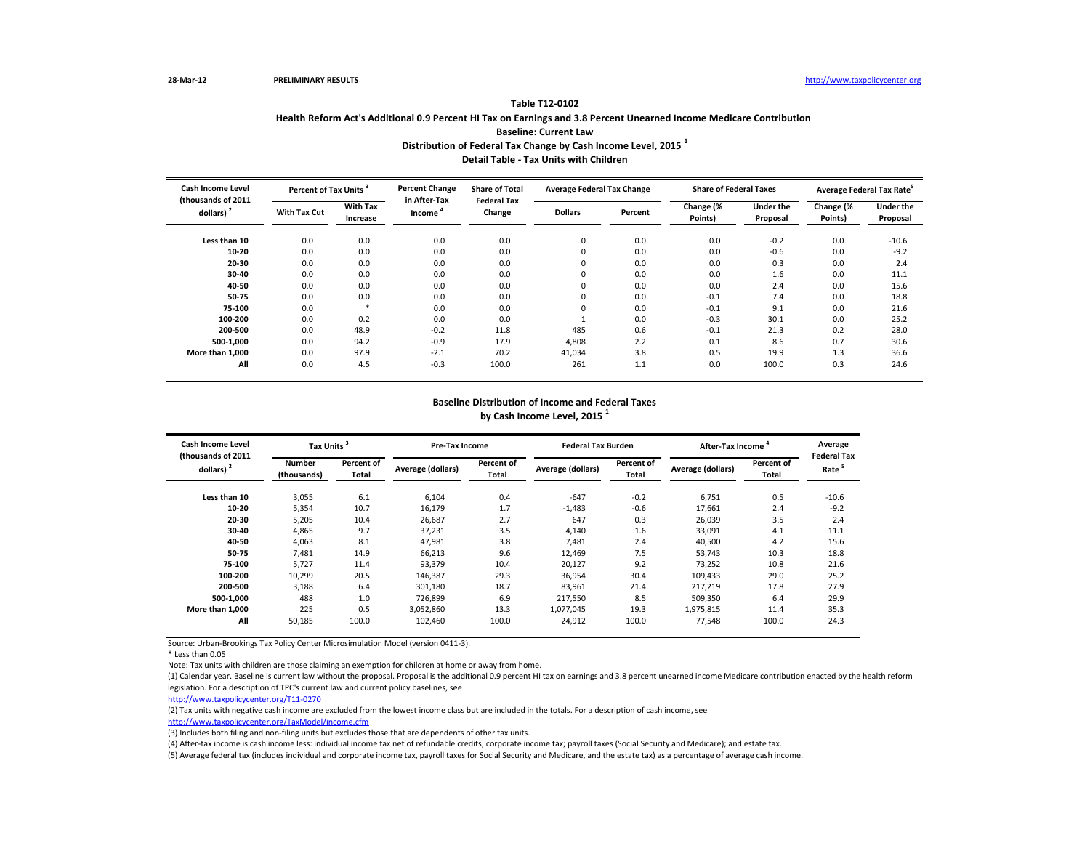| <b>Cash Income Level</b>            | Percent of Tax Units <sup>3</sup> |                             | <b>Percent Change</b>  | <b>Share of Total</b>        | <b>Average Federal Tax Change</b> |         | <b>Share of Federal Taxes</b> |                              | Average Federal Tax Rate <sup>5</sup> |                              |
|-------------------------------------|-----------------------------------|-----------------------------|------------------------|------------------------------|-----------------------------------|---------|-------------------------------|------------------------------|---------------------------------------|------------------------------|
| (thousands of 2011)<br>dollars) $2$ | <b>With Tax Cut</b>               | <b>With Tax</b><br>Increase | in After-Tax<br>Income | <b>Federal Tax</b><br>Change | <b>Dollars</b>                    | Percent | Change (%<br>Points)          | <b>Under the</b><br>Proposal | Change (%<br>Points)                  | <b>Under the</b><br>Proposal |
| Less than 10                        | 0.0                               | 0.0                         | 0.0                    | 0.0                          | 0                                 | 0.0     | 0.0                           | $-0.2$                       | 0.0                                   | $-10.6$                      |
| 10-20                               | 0.0                               | 0.0                         | 0.0                    | 0.0                          | 0                                 | 0.0     | 0.0                           | $-0.6$                       | 0.0                                   | $-9.2$                       |
| 20-30                               | 0.0                               | 0.0                         | 0.0                    | 0.0                          | 0                                 | 0.0     | 0.0                           | 0.3                          | 0.0                                   | 2.4                          |
| 30-40                               | 0.0                               | 0.0                         | 0.0                    | 0.0                          | 0                                 | 0.0     | 0.0                           | 1.6                          | 0.0                                   | 11.1                         |
| 40-50                               | 0.0                               | 0.0                         | 0.0                    | 0.0                          | 0                                 | 0.0     | 0.0                           | 2.4                          | 0.0                                   | 15.6                         |
| 50-75                               | 0.0                               | 0.0                         | 0.0                    | 0.0                          | $\Omega$                          | 0.0     | $-0.1$                        | 7.4                          | 0.0                                   | 18.8                         |
| 75-100                              | 0.0                               | $\ast$                      | 0.0                    | 0.0                          | $\Omega$                          | 0.0     | $-0.1$                        | 9.1                          | 0.0                                   | 21.6                         |
| 100-200                             | 0.0                               | 0.2                         | 0.0                    | 0.0                          |                                   | 0.0     | $-0.3$                        | 30.1                         | 0.0                                   | 25.2                         |
| 200-500                             | 0.0                               | 48.9                        | $-0.2$                 | 11.8                         | 485                               | 0.6     | $-0.1$                        | 21.3                         | 0.2                                   | 28.0                         |
| 500-1,000                           | 0.0                               | 94.2                        | $-0.9$                 | 17.9                         | 4,808                             | 2.2     | 0.1                           | 8.6                          | 0.7                                   | 30.6                         |
| More than 1,000                     | 0.0                               | 97.9                        | $-2.1$                 | 70.2                         | 41,034                            | 3.8     | 0.5                           | 19.9                         | 1.3                                   | 36.6                         |
| All                                 | 0.0                               | 4.5                         | $-0.3$                 | 100.0                        | 261                               | 1.1     | 0.0                           | 100.0                        | 0.3                                   | 24.6                         |

\* Less than 0.05

Note: Tax units with children are those claiming an exemption for children at home or away from home.

| <b>Cash Income Level</b>            | Tax Units <sup>3</sup>       |                     | <b>Pre-Tax Income</b> |                     | <b>Federal Tax Burden</b> |                     | After-Tax Income  |                     | Average                                |  |
|-------------------------------------|------------------------------|---------------------|-----------------------|---------------------|---------------------------|---------------------|-------------------|---------------------|----------------------------------------|--|
| (thousands of 2011)<br>dollars) $2$ | <b>Number</b><br>(thousands) | Percent of<br>Total | Average (dollars)     | Percent of<br>Total | Average (dollars)         | Percent of<br>Total | Average (dollars) | Percent of<br>Total | <b>Federal Ta</b><br>Rate <sup>5</sup> |  |
| Less than 10                        | 3,055                        | 6.1                 | 6,104                 | 0.4                 | $-647$                    | $-0.2$              | 6,751             | 0.5                 | $-10.6$                                |  |
| $10 - 20$                           | 5,354                        | 10.7                | 16,179                | 1.7                 | $-1,483$                  | $-0.6$              | 17,661            | 2.4                 | $-9.2$                                 |  |
| $20 - 30$                           | 5,205                        | 10.4                | 26,687                | 2.7                 | 647                       | 0.3                 | 26,039            | 3.5                 | 2.4                                    |  |
| 30-40                               | 4,865                        | 9.7                 | 37,231                | 3.5                 | 4,140                     | 1.6                 | 33,091            | 4.1                 | 11.1                                   |  |
| 40-50                               | 4,063                        | 8.1                 | 47,981                | 3.8                 | 7,481                     | 2.4                 | 40,500            | 4.2                 | 15.6                                   |  |
| 50-75                               | 7,481                        | 14.9                | 66,213                | 9.6                 | 12,469                    | 7.5                 | 53,743            | 10.3                | 18.8                                   |  |
| 75-100                              | 5,727                        | 11.4                | 93,379                | 10.4                | 20,127                    | 9.2                 | 73,252            | 10.8                | 21.6                                   |  |
| 100-200                             | 10,299                       | 20.5                | 146,387               | 29.3                | 36,954                    | 30.4                | 109,433           | 29.0                | 25.2                                   |  |
| 200-500                             | 3,188                        | 6.4                 | 301,180               | 18.7                | 83,961                    | 21.4                | 217,219           | 17.8                | 27.9                                   |  |
| 500-1,000                           | 488                          | 1.0                 | 726,899               | 6.9                 | 217,550                   | 8.5                 | 509,350           | 6.4                 | 29.9                                   |  |
| More than 1,000                     | 225                          | 0.5                 | 3,052,860             | 13.3                | 1,077,045                 | 19.3                | 1,975,815         | 11.4                | 35.3                                   |  |
| All                                 | 50,185                       | 100.0               | 102,460               | 100.0               | 24,912                    | 100.0               | 77,548            | 100.0               | 24.3                                   |  |

## **Table T12-0102 Health Reform Act's Additional 0.9 Percent HI Tax on Earnings and 3.8 Percent Unearned Income Medicare Contribution Baseline: Current Law Distribution of Federal Tax Change by Cash Income Level, 2015 <sup>1</sup> Detail Table - Tax Units with Children**

#### **Baseline Distribution of Income and Federal Taxes by Cash Income Level, 2015 <sup>1</sup>**

| Average<br><b>Federal Tax</b><br>5<br>Rate                                             |
|----------------------------------------------------------------------------------------|
| -10.6<br>$-9.2$<br>2.4<br>11.1<br>15.6<br>18.8<br>21.6<br>25.2<br>27.9<br>29.9<br>35.3 |
| 24.3                                                                                   |

(5) Average federal tax (includes individual and corporate income tax, payroll taxes for Social Security and Medicare, and the estate tax) as a percentage of average cash income.

(1) Calendar year. Baseline is current law without the proposal. Proposal is the additional 0.9 percent HI tax on earnings and 3.8 percent unearned income Medicare contribution enacted by the health reform legislation. For a description of TPC's current law and current policy baselines, see

[http://www.taxpolicycente](http://www.taxpolicycenter.org/T11-0270)r.org/T11-0270

(2) Tax units with negative cash income are excluded from the lowest income class but are included in the totals. For a description of cash income, see [http://www.taxpolicycente](http://www.taxpolicycenter.org/TaxModel/income.cfm)r.org/TaxModel/income.cfm

(3) Includes both filing and non-filing units but excludes those that are dependents of other tax units.